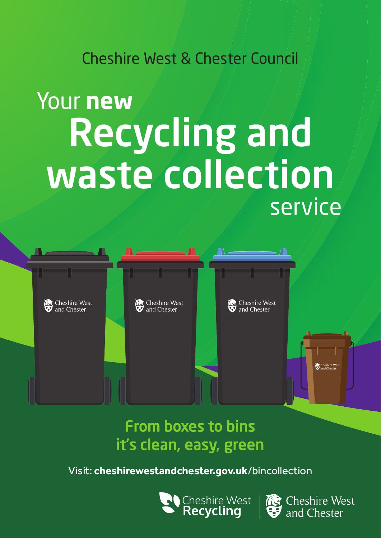# Cheshire West & Chester Council

# Your **new** Recycling and waste collection service



# **From boxes to bins** it's clean, easy, green

Visit: **cheshirewestandchester.gov.uk**/bincollection



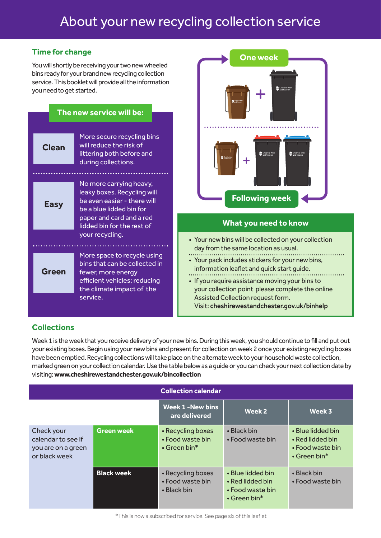# About your new recycling collection service

### **Time for change**

You will shortly be receiving your two new wheeled bins ready for your brand new recycling collection service. This booklet will provide all the information you need to get started.





### **What you need to know**

- Your new bins will be collected on your collection day from the same location as usual.
- Your pack includes stickers for your new bins,
- information leaflet and quick start guide.
- If you require assistance moving your bins to your collection point please complete the online Assisted Collection request form. Visit: cheshirewestandchester.gov.uk/binhelp

### **Collections**

Week 1 is the week that you receive delivery of your new bins. During this week, you should continue to fill and put out your existing boxes. Begin using your new bins and present for collection on week 2 once your existing recycling boxes have been emptied. Recycling collections will take place on the alternate week to your household waste collection, marked green on your collection calendar. Use the table below as a guide or you can check your next collection date by visiting: **www.cheshirewestandchester.gov.uk/bincollection**

| <b>Collection calendar</b>                                              |                   |                                                             |                                                                                 |                                                                                 |  |
|-------------------------------------------------------------------------|-------------------|-------------------------------------------------------------|---------------------------------------------------------------------------------|---------------------------------------------------------------------------------|--|
|                                                                         |                   | <b>Week 1 - New bins</b><br>are delivered                   | <b>Week 2</b>                                                                   | <b>Week 3</b>                                                                   |  |
| Check your<br>calendar to see if<br>you are on a green<br>or black week | <b>Green week</b> | • Recycling boxes<br>• Food waste bin<br>$\cdot$ Green bin* | $\bullet$ Black bin<br>• Food waste bin                                         | • Blue lidded bin<br>• Red lidded bin<br>• Food waste bin<br>$\cdot$ Green bin* |  |
|                                                                         | <b>Black week</b> | • Recycling boxes<br>• Food waste bin<br>• Black bin        | • Blue lidded bin<br>• Red lidded bin<br>• Food waste bin<br>$\cdot$ Green bin* | • Black bin<br>• Food waste bin                                                 |  |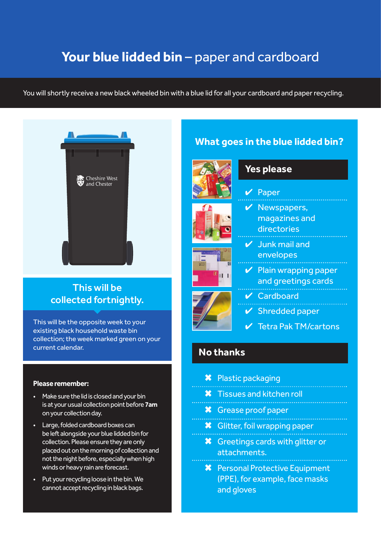# **Your blue lidded bin** – paper and cardboard

You will shortly receive a new black wheeled bin with a blue lid for all your cardboard and paper recycling.



# This will be collected fortnightly.

This will be the opposite week to your existing black household waste bin collection; the week marked green on your current calendar.

#### **Please remember:**

- Make sure the lid is closed and your bin is at your usual collection point before **7am** on your collection day.
- Large, folded cardboard boxes can be left alongside your blue lidded bin for collection. Please ensure they are only placed out on the morning of collection and not the night before, especially when high winds or heavy rain are forecast.
- Put your recycling loose in the bin. We cannot accept recycling in black bags.

### **What goes in the blue lidded bin?**









### **Yes please**

 $\vee$  Paper  $\sqrt{\phantom{a}}$  Newspapers, magazines and directories  $\vee$  Junk mail and envelopes  $\vee$  Plain wrapping paper and greetings cards  $\vee$  Cardboard  $\vee$  Shredded paper  $\vee$  Tetra Pak TM/cartons

### **No thanks**

|  | <b>*</b> Plastic packaging                                                             |
|--|----------------------------------------------------------------------------------------|
|  | <b>*</b> Tissues and kitchen roll                                                      |
|  | <b>*</b> Grease proof paper                                                            |
|  | <b>X</b> Glitter, foil wrapping paper                                                  |
|  | <b><sup>Ⅲ</sup></b> Greetings cards with glitter or<br>attachments.                    |
|  | <b>*</b> Personal Protective Equipment<br>(PPE), for example, face masks<br>and gloves |
|  |                                                                                        |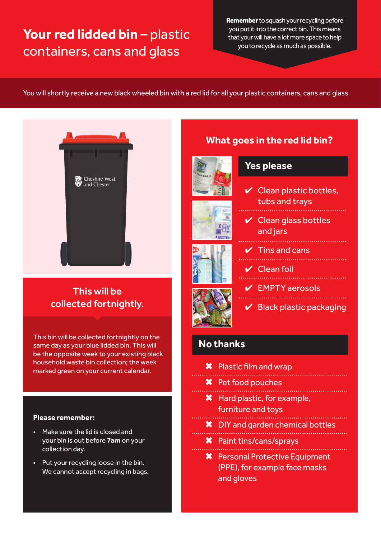# Your red lidded bin - plastic containers, cans and glass

Remember to squash your recycling before you put it into the correct bin. This means that your will have a lot more space to help you to recycle as much as possible.

You will shortly receive a new black wheeled bin with a red lid for all your plastic containers, cans and glass.



### This will be collected fortnightly.

This bin will be collected fortnightly on the same day as your blue lidded bin. This will be the opposite week to your existing black household waste bin collection; the week marked green on your current calendar.

#### **Please remember:**

- Make sure the lid is closed and your bin is out before **7am** on your collection day.
- Put your recycling loose in the bin. We cannot accept recycling in bags.

### **What goes in the red lid bin?**









### **Yes please**

- $\vee$  Clean plastic bottles, tubs and trays
- $\vee$  Clean glass bottles and jars
- $\sqrt{ }$  Tins and cans
- $\vee$  Clean foil
- $\vee$  EMPTY aerosols
- $\vee$  Black plastic packaging

### **No thanks**

. . .

| <b>*</b> Plastic film and wrap                                                        |
|---------------------------------------------------------------------------------------|
| <b><sup><del></del></sup></b> ≯ Pet food pouches                                      |
| <b>*</b> Hard plastic, for example,<br>furniture and toys                             |
| <b><sup>Ⅲ</sup></b> DIY and garden chemical bottles                                   |
| <b>*</b> Paint tins/cans/sprays                                                       |
| <b>*</b> Personal Protective Equipment<br>(PPE), for example face masks<br>and gloves |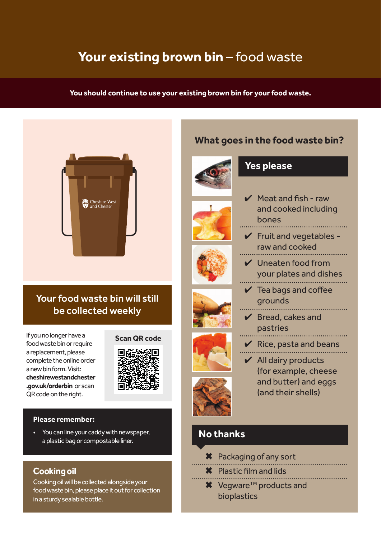# Your existing brown bin – food waste

**You should continue to use your existing brown bin for your food waste.**



### Your food waste bin will still be collected weekly

If you no longer have a food waste bin or require a replacement, please complete the online order a new bin form. Visit: **cheshirewestandchester .gov.uk/orderbin** or scan QR code on the right.



### **Please remember:**

• You can line your caddy with newspaper, a plastic bag or compostable liner.

### **Cooking oil**

Cooking oil will be collected alongside your food waste bin, please place it out for collection in a sturdy sealable bottle.

# **What goes in the food waste bin?**

**Yes please**







- $\vee$  Meat and fish raw and cooked including bones
- $\vee$  Fruit and vegetables raw and cooked
- $\vee$  Uneaten food from your plates and dishes
- $\vee$  Tea bags and coffee grounds
- $\vee$  Bread, cakes and pastries
- $\vee$  Rice, pasta and beans
- $\vee$  All dairy products (for example, cheese and butter) and eggs (and their shells)

### **No thanks**

| <b><sup>★</sup></b> Packaging of any sort                             |
|-----------------------------------------------------------------------|
| <b>*</b> Plastic film and lids                                        |
| <b><math>★</math> Veqware<sup>™</sup> products and</b><br>bioplastics |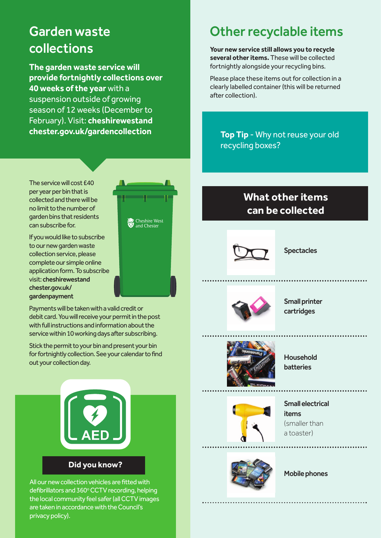# Garden waste collections

**The garden waste service will provide fortnightly collections over 40 weeks of the year** with a suspension outside of growing season of 12 weeks (December to February). Visit: **cheshirewestand chester.gov.uk/gardencollection**

# Other recyclable items

**Your new service still allows you to recycle several other items.** These will be collected fortnightly alongside your recycling bins.

Please place these items out for collection in a clearly labelled container (this will be returned after collection).

### **Top Tip** - Why not reuse your old recycling boxes?

# **What other items can be collected**



**Spectacles** 



Small printer cartridges



Household batteries

Small electrical

(smaller than

items





Mobile phones

The service will cost £40 per year per bin that is collected and there will be no limit to the number of garden bins that residents can subscribe for.

If you would like to subscribe to our new garden waste collection service, please complete our simple online application form. To subscribe visit: cheshirewestand chester.gov.uk/ gardenpayment

Payments will be taken with a valid credit or debit card. You will receive your permit in the post with full instructions and information about the service within 10 working days after subscribing.

Stick the permit to your bin and present your bin for fortnightly collection. See your calendar to find out your collection day.



### **Did you know?**

All our new collection vehicles are fitted with defibrillators and 360° CCTV recording, helping the local community feel safer (all CCTV images are taken in accordance with the Council's privacy policy).

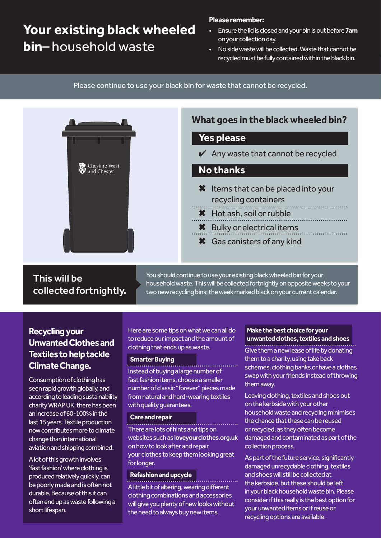# **Your existing black wheeled bin**– household waste

### **Please remember:**

- Ensure the lid is closed and your bin is out before **7am** on your collection day.
- No side waste will be collected. Waste that cannot be recycled must be fully contained within the black bin.

Please continue to use your black bin for waste that cannot be recycled.



This will be collected fortnightly. You should continue to use your existing black wheeled bin for your household waste. This will be collected fortnightly on opposite weeks to your two new recycling bins; the week marked black on your current calendar.

### **Recycling your Unwanted Clothes and Textiles to help tackle Climate Change.**

Consumption of clothing has seen rapid growth globally, and according to leading sustainability charity WRAP UK, there has been an increase of 60-100% in the last 15 years. Textile production now contributes more to climate change than international aviation and shipping combined.

A lot of this growth involves 'fast fashion' where clothing is produced relatively quickly, can be poorly made and is often not durable. Because of this it can often end up as waste following a short lifespan.

Here are some tips on what we can all do to reduce our impact and the amount of clothing that ends up as waste.

#### **Smarter Buying**

Instead of buying a large number of fast fashion items, choose a smaller number of classic "forever" pieces made from natural and hard-wearing textiles with quality guarantees.

#### **Care and repair**

There are lots of hints and tips on websites such as loveyourclothes.org.uk on how to look after and repair your clothes to keep them looking great for longer.

#### **Refashion and upcycle**

A little bit of altering, wearing different clothing combinations and accessories will give you plenty of new looks without the need to always buy new items.

#### **Make the best choice for your unwanted clothes, textiles and shoes**

Give them a new lease of life by donating them to a charity, using take back schemes, clothing banks or have a clothes swap with your friends instead of throwing them away.

Leaving clothing, textiles and shoes out on the kerbside with your other household waste and recycling minimises the chance that these can be reused or recycled, as they often become damaged and contaminated as part of the collection process.

As part of the future service, significantly damaged unrecyclable clothing, textiles and shoes will still be collected at the kerbside, but these should be left in your black household waste bin. Please consider if this really is the best option for your unwanted items or if reuse or recycling options are available.